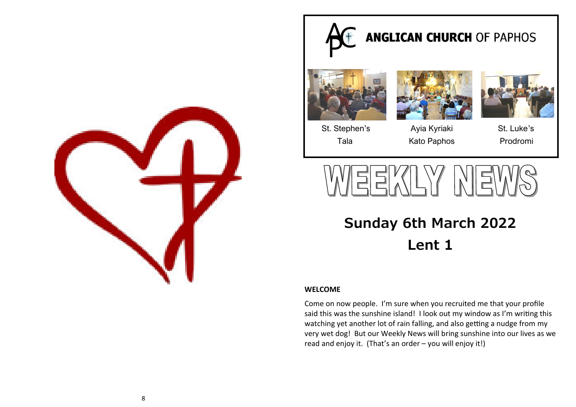

# **ANGLICAN CHURCH OF PAPHOS**







St. Stephen's Ayia Kyriaki St. Luke's Tala Kato Paphos Prodromi



**Sunday 6th March 2022 Lent 1**

## **WELCOME**

Come on now people. I'm sure when you recruited me that your profile said this was the sunshine island! I look out my window as I'm writing this watching yet another lot of rain falling, and also getting a nudge from my very wet dog! But our Weekly News will bring sunshine into our lives as we read and enjoy it. (That's an order – you will enjoy it!)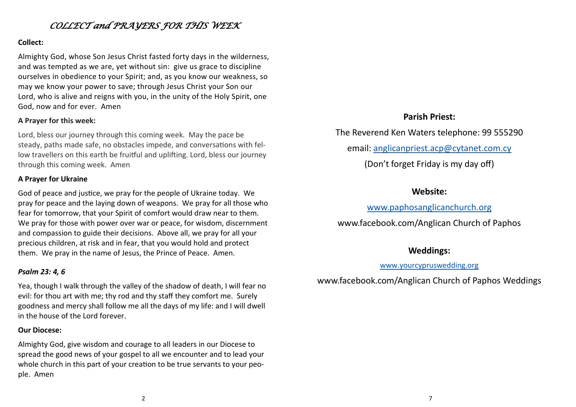# *COLLECT and PRAYERS FOR THIS WEEK*

## **Collect:**

Almighty God, whose Son Jesus Christ fasted forty days in the wilderness, and was tempted as we are, yet without sin: give us grace to discipline ourselves in obedience to your Spirit; and, as you know our weakness, so may we know your power to save; through Jesus Christ your Son our Lord, who is alive and reigns with you, in the unity of the Holy Spirit, one God, now and for ever. Amen

## **A Prayer for this week:**

Lord, bless our journey through this coming week. May the pace be steady, paths made safe, no obstacles impede, and conversations with fellow travellers on this earth be fruitful and uplifting. Lord, bless our journey through this coming week. Amen

## **A Prayer for Ukraine**

God of peace and justice, we pray for the people of Ukraine today. We pray for peace and the laying down of weapons. We pray for all those who fear for tomorrow, that your Spirit of comfort would draw near to them. We pray for those with power over war or peace, for wisdom, discernment and compassion to guide their decisions. Above all, we pray for all your precious children, at risk and in fear, that you would hold and protect them. We pray in the name of Jesus, the Prince of Peace. Amen.

## *Psalm 23: 4, 6*

Yea, though I walk through the valley of the shadow of death, I will fear no evil: for thou art with me; thy rod and thy staff they comfort me. Surely goodness and mercy shall follow me all the days of my life: and I will dwell in the house of the Lord forever.

## **Our Diocese:**

Almighty God, give wisdom and courage to all leaders in our Diocese to spread the good news of your gospel to all we encounter and to lead your whole church in this part of your creation to be true servants to your people. Amen

## **Parish Priest:**

The Reverend Ken Waters telephone: 99 555290

email: [anglicanpriest.acp@cytanet.com.cy](mailto:anglicanpriest.acp@cytanet.com.cy)

(Don't forget Friday is my day off)

## **Website:**

## [www.paphosanglicanchurch.org](http://www.paphosanglicanchurch.org)

www.facebook.com/Anglican Church of Paphos

## **Weddings:**

## [www.yourcypruswedding.org](http://www.yourcypruswedding.org)

www.facebook.com/Anglican Church of Paphos Weddings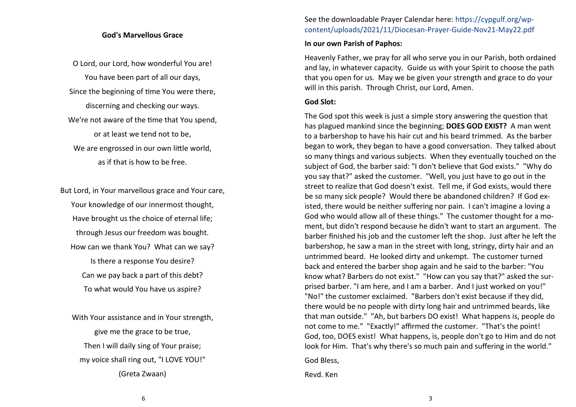#### **God's Marvellous Grace**

O Lord, our Lord, how wonderful You are! You have been part of all our days, Since the beginning of time You were there, discerning and checking our ways. We're not aware of the time that You spend, or at least we tend not to be, We are engrossed in our own little world, as if that is how to be free.

But Lord, in Your marvellous grace and Your care, Your knowledge of our innermost thought, Have brought us the choice of eternal life; through Jesus our freedom was bought. How can we thank You? What can we say? Is there a response You desire? Can we pay back a part of this debt? To what would You have us aspire?

With Your assistance and in Your strength, give me the grace to be true, Then I will daily sing of Your praise; my voice shall ring out, "I LOVE YOU!" (Greta Zwaan)

## See the downloadable Prayer Calendar here: https://cypgulf.org/wpcontent/uploads/2021/11/Diocesan-Prayer-Guide-Nov21-May22.pdf

#### **In our own Parish of Paphos:**

Heavenly Father, we pray for all who serve you in our Parish, both ordained and lay, in whatever capacity. Guide us with your Spirit to choose the path that you open for us. May we be given your strength and grace to do your will in this parish. Through Christ, our Lord, Amen.

### **God Slot:**

The God spot this week is just a simple story answering the question that has plagued mankind since the beginning; **DOES GOD EXIST?** A man went to a barbershop to have his hair cut and his beard trimmed. As the barber began to work, they began to have a good conversation. They talked about so many things and various subjects. When they eventually touched on the subject of God, the barber said: "I don't believe that God exists." "Why do you say that?" asked the customer. "Well, you just have to go out in the street to realize that God doesn't exist. Tell me, if God exists, would there be so many sick people? Would there be abandoned children? If God existed, there would be neither suffering nor pain. I can't imagine a loving a God who would allow all of these things." The customer thought for a moment, but didn't respond because he didn't want to start an argument. The barber finished his job and the customer left the shop. Just after he left the barbershop, he saw a man in the street with long, stringy, dirty hair and an untrimmed beard. He looked dirty and unkempt. The customer turned back and entered the barber shop again and he said to the barber: "You know what? Barbers do not exist." "How can you say that?" asked the surprised barber. "I am here, and I am a barber. And I just worked on you!" "No!" the customer exclaimed. "Barbers don't exist because if they did, there would be no people with dirty long hair and untrimmed beards, like that man outside." "Ah, but barbers DO exist! What happens is, people do not come to me." "Exactly!" affirmed the customer. "That's the point! God, too, DOES exist! What happens, is, people don't go to Him and do not look for Him. That's why there's so much pain and suffering in the world."

God Bless,

Revd. Ken

6